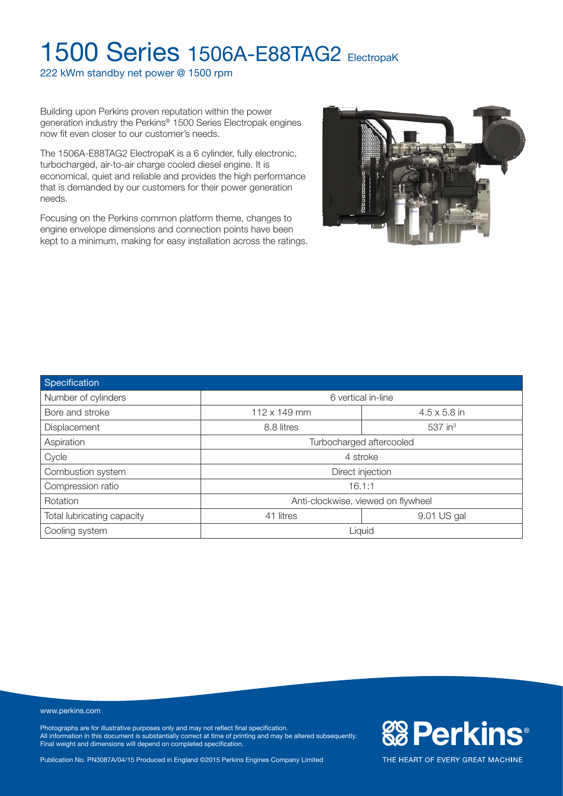222 kWm standby net power @ 1500 rpm

Building upon Perkins proven reputation within the power generation industry the Perkins® 1500 Series Electropak engines now fit even closer to our customer's needs.

The 1506A-E88TAG2 ElectropaK is a 6 cylinder, fully electronic, turbocharged, air-to-air charge cooled diesel engine. It is economical, quiet and reliable and provides the high performance that is demanded by our customers for their power generation needs.

Focusing on the Perkins common platform theme, changes to engine envelope dimensions and connection points have been kept to a minimum, making for easy installation across the ratings.



| Specification              |                                            |             |  |  |  |  |  |
|----------------------------|--------------------------------------------|-------------|--|--|--|--|--|
| Number of cylinders        | 6 vertical in-line                         |             |  |  |  |  |  |
| Bore and stroke            | $112 \times 149$ mm<br>$4.5 \times 5.8$ in |             |  |  |  |  |  |
| Displacement               | $537$ in <sup>3</sup><br>8.8 litres        |             |  |  |  |  |  |
| Aspiration                 | Turbocharged aftercooled                   |             |  |  |  |  |  |
| Cycle                      | 4 stroke                                   |             |  |  |  |  |  |
| Combustion system          | Direct injection                           |             |  |  |  |  |  |
| Compression ratio          | 16.1:1                                     |             |  |  |  |  |  |
| Rotation                   | Anti-clockwise, viewed on flywheel         |             |  |  |  |  |  |
| Total lubricating capacity | 41 litres                                  | 9.01 US gal |  |  |  |  |  |
| Cooling system             | Liquid                                     |             |  |  |  |  |  |

www.perkins.com

Photographs are for illustrative purposes only and may not reflect final specification. All information in this document is substantially correct at time of printing and may be altered subsequently. Final weight and dimensions will depend on completed specification.

Publication No. PN3087A/04/15 Produced in England ©2015 Perkins Engines Company Limited

**&B Perkins®**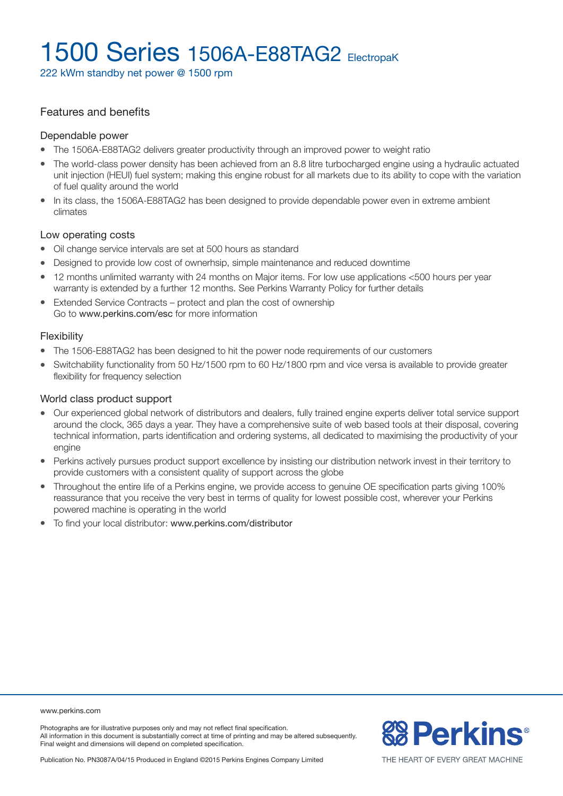222 kWm standby net power @ 1500 rpm

#### Features and benefits

#### Dependable power

- The 1506A-E88TAG2 delivers greater productivity through an improved power to weight ratio
- The world-class power density has been achieved from an 8.8 litre turbocharged engine using a hydraulic actuated unit injection (HEUI) fuel system; making this engine robust for all markets due to its ability to cope with the variation of fuel quality around the world
- In its class, the 1506A-E88TAG2 has been designed to provide dependable power even in extreme ambient climates

#### Low operating costs

- Oil change service intervals are set at 500 hours as standard
- Designed to provide low cost of ownerhsip, simple maintenance and reduced downtime
- 12 months unlimited warranty with 24 months on Major items. For low use applications <500 hours per year warranty is extended by a further 12 months. See Perkins Warranty Policy for further details
- Extended Service Contracts protect and plan the cost of ownership Go to www.perkins.com/esc for more information

#### Flexibility

- The 1506-E88TAG2 has been designed to hit the power node requirements of our customers
- Switchability functionality from 50 Hz/1500 rpm to 60 Hz/1800 rpm and vice versa is available to provide greater flexibility for frequency selection

#### World class product support

- <sup>l</sup> Our experienced global network of distributors and dealers, fully trained engine experts deliver total service support around the clock, 365 days a year. They have a comprehensive suite of web based tools at their disposal, covering technical information, parts identification and ordering systems, all dedicated to maximising the productivity of your engine
- Perkins actively pursues product support excellence by insisting our distribution network invest in their territory to provide customers with a consistent quality of support across the globe
- <sup>l</sup> Throughout the entire life of a Perkins engine, we provide access to genuine OE specification parts giving 100% reassurance that you receive the very best in terms of quality for lowest possible cost, wherever your Perkins powered machine is operating in the world
- To find your local distributor: www.perkins.com/distributor

www.perkins.com

Photographs are for illustrative purposes only and may not reflect final specification. All information in this document is substantially correct at time of printing and may be altered subsequently. Final weight and dimensions will depend on completed specification.



Publication No. PN3087A/04/15 Produced in England ©2015 Perkins Engines Company Limited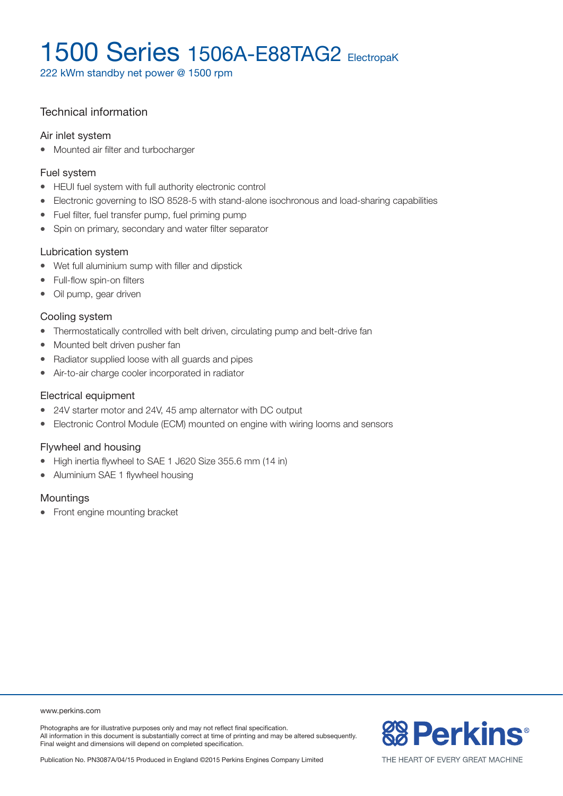222 kWm standby net power @ 1500 rpm

### Technical information

#### Air inlet system

• Mounted air filter and turbocharger

#### Fuel system

- HEUI fuel system with full authority electronic control
- Electronic governing to ISO 8528-5 with stand-alone isochronous and load-sharing capabilities
- Fuel filter, fuel transfer pump, fuel priming pump
- Spin on primary, secondary and water filter separator

#### Lubrication system

- Wet full aluminium sump with filler and dipstick
- Full-flow spin-on filters
- Oil pump, gear driven

#### Cooling system

- Thermostatically controlled with belt driven, circulating pump and belt-drive fan
- Mounted belt driven pusher fan
- Radiator supplied loose with all guards and pipes
- Air-to-air charge cooler incorporated in radiator

#### Electrical equipment

- 24V starter motor and 24V, 45 amp alternator with DC output
- Electronic Control Module (ECM) mounted on engine with wiring looms and sensors

#### Flywheel and housing

- High inertia flywheel to SAE 1 J620 Size 355.6 mm (14 in)
- Aluminium SAE 1 flywheel housing

#### **Mountings**

• Front engine mounting bracket

#### www.perkins.com

Photographs are for illustrative purposes only and may not reflect final specification. All information in this document is substantially correct at time of printing and may be altered subsequently. Final weight and dimensions will depend on completed specification.

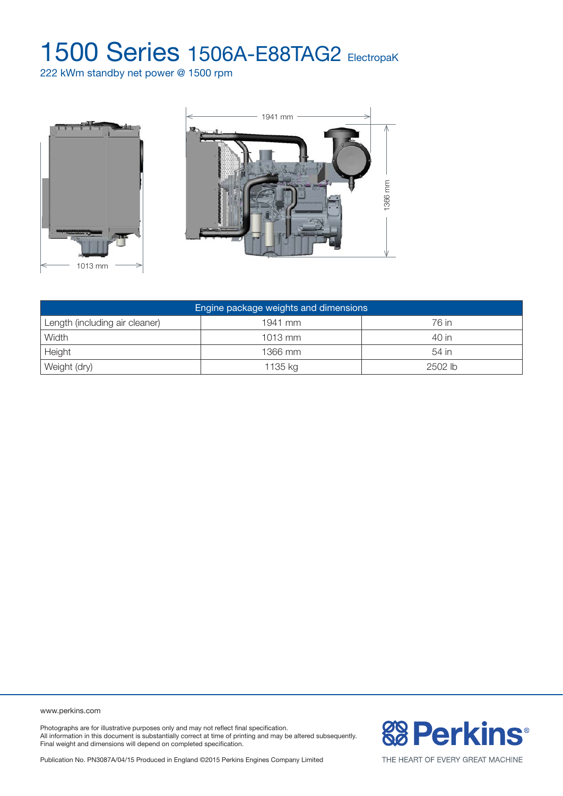222 kWm standby net power @ 1500 rpm





| Engine package weights and dimensions |           |         |  |  |  |  |
|---------------------------------------|-----------|---------|--|--|--|--|
| Length (including air cleaner)        | 1941 mm   | 76 in   |  |  |  |  |
| Width                                 | $1013$ mm | 40 in   |  |  |  |  |
| Height                                | 1366 mm   | 54 in   |  |  |  |  |
| Weight (dry)                          | 1135 kg   | 2502 lb |  |  |  |  |

www.perkins.com

Photographs are for illustrative purposes only and may not reflect final specification. All information in this document is substantially correct at time of printing and may be altered subsequently. Final weight and dimensions will depend on completed specification.

**& Perkins®** 

Publication No. PN3087A/04/15 Produced in England ©2015 Perkins Engines Company Limited